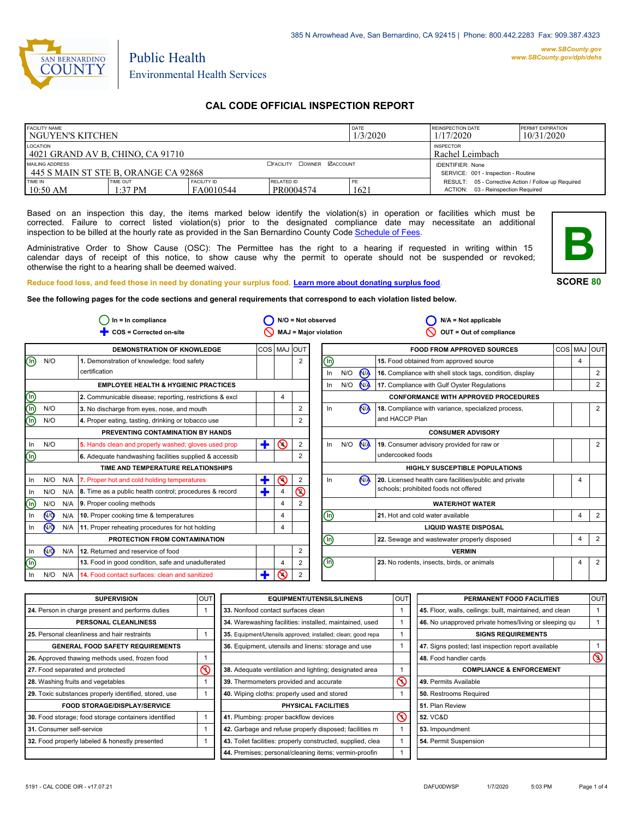

# Environmental Health Services

Public Health

## **CAL CODE OFFICIAL INSPECTION REPORT**

| <b>FACILITY NAME</b><br>I NGUYEN'S KITCHEN               |                       |                                     |                                                                | DATE<br>1/3/2020 | <b>REINSPECTION DATE</b><br>1/17/2020                                                     | <b>PERMIT EXPIRATION</b><br>10/31/2020 |
|----------------------------------------------------------|-----------------------|-------------------------------------|----------------------------------------------------------------|------------------|-------------------------------------------------------------------------------------------|----------------------------------------|
| LOCATION<br>  4021 GRAND AV B. CHINO. CA 91710           |                       | <b>INSPECTOR</b><br>Rachel Leimbach |                                                                |                  |                                                                                           |                                        |
| MAILING ADDRESS<br>1445 S MAIN ST STE B. ORANGE CA 92868 |                       | <b>DEACILITY DOWNER MACCOUNT</b>    | <b>IDENTIFIER: None</b><br>SERVICE: 001 - Inspection - Routine |                  |                                                                                           |                                        |
| TIME IN<br>$10:50$ AM                                    | TIME OUT<br>$1:37$ PM | <b>FACILITY ID</b><br>FA0010544     | RELATED ID<br>PR0004574                                        | PE<br>1621       | RESULT: 05 - Corrective Action / Follow up Required<br>ACTION: 03 - Reinspection Required |                                        |

Based on an inspection this day, the items marked below identify the violation(s) in operation or facilities which must be corrected. Failure to correct listed violation(s) prior to the designated compliance date may necessitate an additional inspection to be billed at the hourly rate as provided in the San Bernardino County Code Schedule [of Fees.](http://www.amlegal.com/nxt/gateway.dll/California/sanbernardinocounty_ca/title1governmentandadministration/division6countyfees/chapter2scheduleoffees?f=templates$fn=default.htm$3.0$vid=amlegal:sanbernardinocounty_ca$anc=JD_16.0213B)

Administrative Order to Show Cause (OSC): The Permittee has the right to a hearing if requested in writing within 15 calendar days of receipt of this notice, to show cause why the permit to operate should not be suspended or revoked; otherwise the right to a hearing shall be deemed waived.



**SCORE 80**

**Reduce food loss, and feed those in need by donating your surplus food. Learn mor[e about donating surplus food.](http://wp.sbcounty.gov/dph/programs/ehs/food-facilities/)**

**See the following pages for the code sections and general requirements that correspond to each violation listed below.**

|                                | $In = In$ compliance |     |                                                               |             | $N/O = Not observed$ |                |                       | $N/A = Not$ applicable |                      |                                                          |     |                |                |
|--------------------------------|----------------------|-----|---------------------------------------------------------------|-------------|----------------------|----------------|-----------------------|------------------------|----------------------|----------------------------------------------------------|-----|----------------|----------------|
|                                |                      |     | COS = Corrected on-site                                       |             |                      |                | MAJ = Major violation |                        |                      | OUT = Out of compliance                                  |     |                |                |
|                                |                      |     | <b>DEMONSTRATION OF KNOWLEDGE</b>                             | COS MAJ OUT |                      |                |                       |                        |                      | <b>FOOD FROM APPROVED SOURCES</b>                        | COS | MAJ            | loutl          |
| $\textcircled{\scriptsize{1}}$ | N/O                  |     | 1. Demonstration of knowledge; food safety                    |             |                      | 2              | ⓪                     |                        |                      | 15. Food obtained from approved source                   |     | $\overline{4}$ |                |
|                                |                      |     | certification                                                 |             |                      |                | In                    | N/O                    | N <sub>A</sub>       | 16. Compliance with shell stock tags, condition, display |     |                | 2              |
|                                |                      |     | <b>EMPLOYEE HEALTH &amp; HYGIENIC PRACTICES</b>               |             |                      |                | In                    | N/O                    | <b>N<sub>A</sub></b> | 17. Compliance with Gulf Oyster Regulations              |     |                | 2              |
|                                |                      |     | 2. Communicable disease; reporting, restrictions & excl       |             | 4                    |                |                       |                        |                      | <b>CONFORMANCE WITH APPROVED PROCEDURES</b>              |     |                |                |
| eie                            | N/O                  |     | 3. No discharge from eyes, nose, and mouth                    |             |                      | $\overline{2}$ | In                    |                        | N <sub>A</sub>       | 18. Compliance with variance, specialized process,       |     |                | 2              |
| ⋒                              | N/O                  |     | 4. Proper eating, tasting, drinking or tobacco use            |             |                      |                |                       |                        |                      | and HACCP Plan                                           |     |                |                |
|                                |                      |     | PREVENTING CONTAMINATION BY HANDS                             |             |                      |                |                       |                        |                      | <b>CONSUMER ADVISORY</b>                                 |     |                |                |
| In                             | N/O                  |     | 5. Hands clean and properly washed; gloves used prop          | ÷           | $\odot$              | 2              | In                    | N/O                    | <b>N<sub>A</sub></b> | 19. Consumer advisory provided for raw or                |     |                | 2              |
| $\textcircled{\scriptsize{1}}$ |                      |     | 6. Adequate handwashing facilities supplied & accessib        |             |                      |                |                       |                        |                      | undercooked foods                                        |     |                |                |
|                                |                      |     | TIME AND TEMPERATURE RELATIONSHIPS                            |             |                      |                |                       |                        |                      | <b>HIGHLY SUSCEPTIBLE POPULATIONS</b>                    |     |                |                |
| In                             | N/O                  | N/A | 7. Proper hot and cold holding temperatures                   | ÷           | $\odot$              | $\overline{2}$ | $\ln$                 |                        | N <sub>A</sub>       | 20. Licensed health care facilities/public and private   |     | 4              |                |
| In.                            | N/O                  |     | N/A   8. Time as a public health control; procedures & record | ٠           | 4                    | <u>ତ</u>       |                       |                        |                      | schools; prohibited foods not offered                    |     |                |                |
| (n)                            | N/O                  | N/A | 9. Proper cooling methods                                     |             | $\overline{4}$       | $\overline{2}$ |                       |                        |                      | <b>WATER/HOT WATER</b>                                   |     |                |                |
| In                             | <b>ඹ</b>             | N/A | 10. Proper cooking time & temperatures                        |             | 4                    |                | −                     |                        |                      | 21. Hot and cold water available                         |     | $\overline{4}$ | 2              |
| In.                            | N <sub>O</sub>       | N/A | 11. Proper reheating procedures for hot holding               |             | 4                    |                |                       |                        |                      | <b>LIQUID WASTE DISPOSAL</b>                             |     |                |                |
|                                |                      |     | PROTECTION FROM CONTAMINATION                                 |             |                      |                | ⋒                     |                        |                      | 22. Sewage and wastewater properly disposed              |     | 4              | $\overline{2}$ |
| In                             | N <sub>O</sub>       | N/A | 12. Returned and reservice of food                            |             |                      | 2              |                       |                        |                      | <b>VERMIN</b>                                            |     |                |                |
| ⋒                              |                      |     | 13. Food in good condition, safe and unadulterated            |             | 4                    | 2              | $\circledcirc$        |                        |                      | 23. No rodents, insects, birds, or animals               |     | $\overline{4}$ | 2              |
| In                             | N/O                  | N/A | 14. Food contact surfaces: clean and sanitized                | T           | ⋒                    | $\overline{2}$ |                       |                        |                      |                                                          |     |                |                |

| <b>SUPERVISION</b>                                    | <b>OUT</b> | <b>EQUIPMENT/UTENSILS/LINENS</b>                             | <b>OUT</b>             | PERMANENT FOOD FACILITIES                                | <b>OUT</b>     |
|-------------------------------------------------------|------------|--------------------------------------------------------------|------------------------|----------------------------------------------------------|----------------|
| 24. Person in charge present and performs duties      |            | 33. Nonfood contact surfaces clean                           |                        | 45. Floor, walls, ceilings: built, maintained, and clean |                |
| <b>PERSONAL CLEANLINESS</b>                           |            | 34. Warewashing facilities: installed, maintained, used      |                        | 46. No unapproved private homes/living or sleeping gu    |                |
| 25. Personal cleanliness and hair restraints          |            | 35. Equipment/Utensils approved; installed; clean; good repa |                        |                                                          |                |
| <b>GENERAL FOOD SAFETY REQUIREMENTS</b>               |            | 36. Equipment, utensils and linens: storage and use          |                        | 47. Signs posted; last inspection report available       |                |
| 26. Approved thawing methods used, frozen food        |            |                                                              |                        | 48. Food handler cards                                   | $\circledcirc$ |
| 27. Food separated and protected                      | ⋒          | 38. Adequate ventilation and lighting; designated area       |                        | <b>COMPLIANCE &amp; ENFORCEMENT</b>                      |                |
| 28. Washing fruits and vegetables                     |            | 39. Thermometers provided and accurate                       | ⋒                      | l 49. Permits Available                                  |                |
| 29. Toxic substances properly identified, stored, use |            | 40. Wiping cloths: properly used and stored                  | 50. Restrooms Required |                                                          |                |
| <b>FOOD STORAGE/DISPLAY/SERVICE</b>                   |            | <b>PHYSICAL FACILITIES</b>                                   |                        | 51. Plan Review                                          |                |
| 30. Food storage; food storage containers identified  |            | 41. Plumbing: proper backflow devices                        | $\infty$               | <b>52. VC&amp;D</b>                                      |                |
| 31. Consumer self-service                             |            | 42. Garbage and refuse properly disposed; facilities m       |                        | 53. Impoundment                                          |                |
| 32. Food properly labeled & honestly presented        |            | 43. Toilet facilities: properly constructed, supplied, clea  |                        | 54. Permit Suspension                                    |                |
|                                                       |            | 44. Premises; personal/cleaning items; vermin-proofin        |                        |                                                          |                |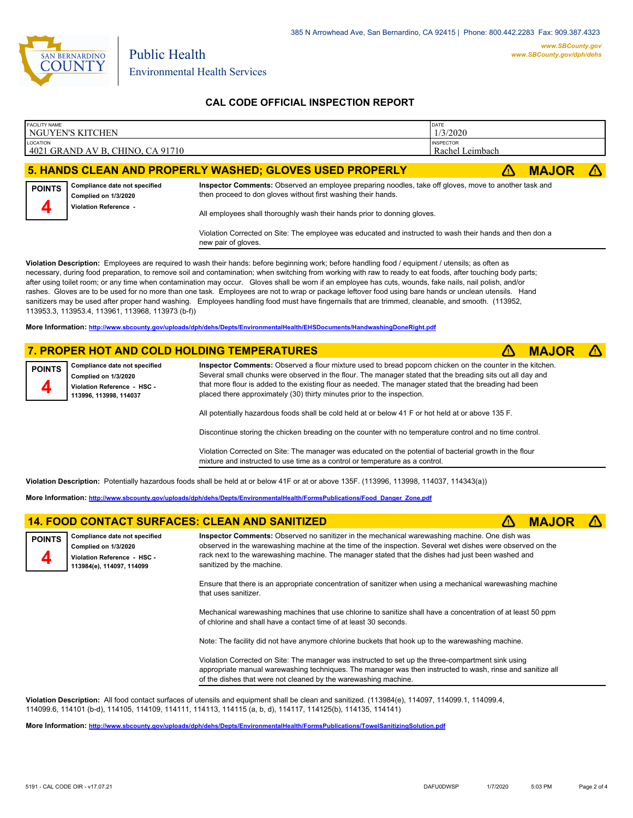

## **CAL CODE OFFICIAL INSPECTION REPORT**

|          | <b>FACILITY NAME</b> | NGUYEN'S KITCHEN                                                               |                                                                                                                                                                                                                                                    | DATE<br>1/3/2020                    |              |  |
|----------|----------------------|--------------------------------------------------------------------------------|----------------------------------------------------------------------------------------------------------------------------------------------------------------------------------------------------------------------------------------------------|-------------------------------------|--------------|--|
| LOCATION |                      | 4021 GRAND AV B, CHINO, CA 91710                                               |                                                                                                                                                                                                                                                    | <b>INSPECTOR</b><br>Rachel Leimbach |              |  |
|          |                      |                                                                                | 5. HANDS CLEAN AND PROPERLY WASHED; GLOVES USED PROPERLY                                                                                                                                                                                           |                                     | <b>MAJOR</b> |  |
|          | <b>POINTS</b><br>4   | Compliance date not specified<br>Complied on 1/3/2020<br>Violation Reference - | Inspector Comments: Observed an employee preparing noodles, take off gloves, move to another task and<br>then proceed to don gloves without first washing their hands.<br>All employees shall thoroughly wash their hands prior to donning gloves. |                                     |              |  |
|          |                      |                                                                                |                                                                                                                                                                                                                                                    |                                     |              |  |

Violation Corrected on Site: The employee was educated and instructed to wash their hands and then don a new pair of gloves.

**Violation Description:** Employees are required to wash their hands: before beginning work; before handling food / equipment / utensils; as often as necessary, during food preparation, to remove soil and contamination; when switching from working with raw to ready to eat foods, after touching body parts; after using toilet room; or any time when contamination may occur. Gloves shall be worn if an employee has cuts, wounds, fake nails, nail polish, and/or rashes. Gloves are to be used for no more than one task. Employees are not to wrap or package leftover food using bare hands or unclean utensils. Hand sanitizers may be used after proper hand washing. Employees handling food must have fingernails that are trimmed, cleanable, and smooth. (113952, 113953.3, 113953.4, 113961, 113968, 113973 (b-f))

**More Information: <http://www.sbcounty.gov/uploads/dph/dehs/Depts/EnvironmentalHealth/EHSDocuments/HandwashingDoneRight.pdf>**

## **7. PROPER HOT AND COLD HOLDING TEMPERATURES <b> 1. A BODY AND A BODY A MAJOR A**

**Compliance date not specified Complied on 1/3/2020 Violation Reference - HSC - 113996, 113998, 114037 POINTS 4**

**Inspector Comments:** Observed a flour mixture used to bread popcorn chicken on the counter in the kitchen. Several small chunks were observed in the flour. The manager stated that the breading sits out all day and that more flour is added to the existing flour as needed. The manager stated that the breading had been placed there approximately (30) thirty minutes prior to the inspection.

All potentially hazardous foods shall be cold held at or below 41 F or hot held at or above 135 F.

Discontinue storing the chicken breading on the counter with no temperature control and no time control.

Violation Corrected on Site: The manager was educated on the potential of bacterial growth in the flour mixture and instructed to use time as a control or temperature as a control.

**Violation Description:** Potentially hazardous foods shall be held at or below 41F or at or above 135F. (113996, 113998, 114037, 114343(a))

**More Information: [http://www.sbcounty.gov/uploads/dph/dehs/Depts/EnvironmentalHealth/FormsPublications/Food\\_Danger\\_Zone.pdf](http://www.sbcounty.gov/uploads/dph/dehs/Depts/EnvironmentalHealth/FormsPublications/Food_Danger_Zone.pdf)**

#### **14. FOOD CONTACT SURFACES: CLEAN AND SANITIZED**  $\triangle$  **MAJOR**

**Compliance date not specified Complied on 1/3/2020 Violation Reference - HSC - 113984(e), 114097, 114099 POINTS 4**

**Inspector Comments:** Observed no sanitizer in the mechanical warewashing machine. One dish was observed in the warewashing machine at the time of the inspection. Several wet dishes were observed on the rack next to the warewashing machine. The manager stated that the dishes had just been washed and sanitized by the machine.

Ensure that there is an appropriate concentration of sanitizer when using a mechanical warewashing machine that uses sanitizer.

Mechanical warewashing machines that use chlorine to sanitize shall have a concentration of at least 50 ppm of chlorine and shall have a contact time of at least 30 seconds.

Note: The facility did not have anymore chlorine buckets that hook up to the warewashing machine.

Violation Corrected on Site: The manager was instructed to set up the three-compartment sink using appropriate manual warewashing techniques. The manager was then instructed to wash, rinse and sanitize all of the dishes that were not cleaned by the warewashing machine.

**Violation Description:** All food contact surfaces of utensils and equipment shall be clean and sanitized. (113984(e), 114097, 114099.1, 114099.4, 114099.6, 114101 (b-d), 114105, 114109, 114111, 114113, 114115 (a, b, d), 114117, 114125(b), 114135, 114141)

**More Information: <http://www.sbcounty.gov/uploads/dph/dehs/Depts/EnvironmentalHealth/FormsPublications/TowelSanitizingSolution.pdf>**

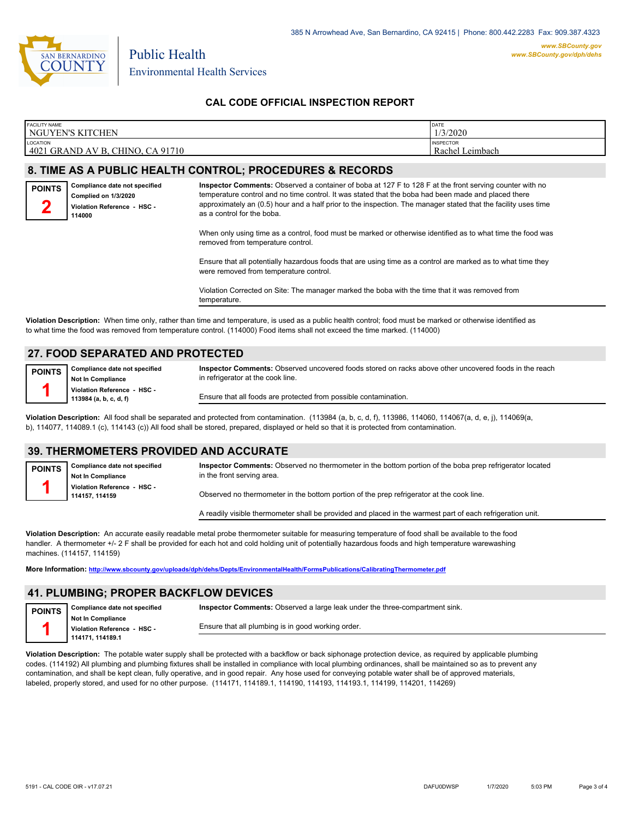

385 N Arrowhead Ave, San Bernardino, CA 92415 | Phone: 800.442.2283 Fax: 909.387.4323

### **CAL CODE OFFICIAL INSPECTION REPORT**

| <b>FACILITY NAME</b><br>NGUYEN'S KITCHEN                                                                                                                                                                                                                                                  |                                                                                                                                                                                                                                                                                                                                                                                                                                                                                                                                                                                                                                                                                                                                                                                                 | DATE<br>1/3/2020                    |  |  |  |
|-------------------------------------------------------------------------------------------------------------------------------------------------------------------------------------------------------------------------------------------------------------------------------------------|-------------------------------------------------------------------------------------------------------------------------------------------------------------------------------------------------------------------------------------------------------------------------------------------------------------------------------------------------------------------------------------------------------------------------------------------------------------------------------------------------------------------------------------------------------------------------------------------------------------------------------------------------------------------------------------------------------------------------------------------------------------------------------------------------|-------------------------------------|--|--|--|
| LOCATION<br>4021 GRAND AV B, CHINO, CA 91710                                                                                                                                                                                                                                              |                                                                                                                                                                                                                                                                                                                                                                                                                                                                                                                                                                                                                                                                                                                                                                                                 | <b>INSPECTOR</b><br>Rachel Leimbach |  |  |  |
|                                                                                                                                                                                                                                                                                           | 8. TIME AS A PUBLIC HEALTH CONTROL; PROCEDURES & RECORDS                                                                                                                                                                                                                                                                                                                                                                                                                                                                                                                                                                                                                                                                                                                                        |                                     |  |  |  |
| Compliance date not specified<br><b>POINTS</b><br>Complied on 1/3/2020<br>Violation Reference - HSC -<br>114000                                                                                                                                                                           | Inspector Comments: Observed a container of boba at 127 F to 128 F at the front serving counter with no<br>temperature control and no time control. It was stated that the boba had been made and placed there<br>approximately an (0.5) hour and a half prior to the inspection. The manager stated that the facility uses time<br>as a control for the boba.<br>When only using time as a control, food must be marked or otherwise identified as to what time the food was<br>removed from temperature control.<br>Ensure that all potentially hazardous foods that are using time as a control are marked as to what time they<br>were removed from temperature control.<br>Violation Corrected on Site: The manager marked the boba with the time that it was removed from<br>temperature. |                                     |  |  |  |
| Violation Description: When time only, rather than time and temperature, is used as a public health control; food must be marked or otherwise identified as<br>to what time the food was removed from temperature control. (114000) Food items shall not exceed the time marked. (114000) |                                                                                                                                                                                                                                                                                                                                                                                                                                                                                                                                                                                                                                                                                                                                                                                                 |                                     |  |  |  |

## **27. FOOD SEPARATED AND PROTECTED**

| POINTS   Compliance date not specified |
|----------------------------------------|
| Not In Compliance                      |
| Violation Reference - HSC -            |
| 113984 (a, b, c, d, f)                 |

**Inspector Comments:** Observed uncovered foods stored on racks above other uncovered foods in the reach in refrigerator at the cook line.

Ensure that all foods are protected from possible contamination.

**Violation Description:** All food shall be separated and protected from contamination. (113984 (a, b, c, d, f), 113986, 114060, 114067(a, d, e, j), 114069(a, b), 114077, 114089.1 (c), 114143 (c)) All food shall be stored, prepared, displayed or held so that it is protected from contamination.

### **39. THERMOMETERS PROVIDED AND ACCURATE**

| <b>POINTS</b>                                | Inspector Comments: Observed no thermometer in the bottom portion of the boba prep refrigerator located<br>Compliance date not specified<br>in the front serving area.<br><b>Not In Compliance</b> |                                                                                                            |  |  |  |
|----------------------------------------------|----------------------------------------------------------------------------------------------------------------------------------------------------------------------------------------------------|------------------------------------------------------------------------------------------------------------|--|--|--|
| Violation Reference - HSC -<br>114157.114159 |                                                                                                                                                                                                    | Observed no thermometer in the bottom portion of the prep refrigerator at the cook line.                   |  |  |  |
|                                              |                                                                                                                                                                                                    | A readily visible thermometer shall be provided and placed in the warmest part of each refrigeration unit. |  |  |  |

**Violation Description:** An accurate easily readable metal probe thermometer suitable for measuring temperature of food shall be available to the food handler. A thermometer +/- 2 F shall be provided for each hot and cold holding unit of potentially hazardous foods and high temperature warewashing machines. (114157, 114159)

**More Information: <http://www.sbcounty.gov/uploads/dph/dehs/Depts/EnvironmentalHealth/FormsPublications/CalibratingThermometer.pdf>**

## **41. PLUMBING; PROPER BACKFLOW DEVICES**

| <b>POINTS</b> | Compliance date not specified                           | Inspector Comments: Observed a large leak under the three-compartment sink. |
|---------------|---------------------------------------------------------|-----------------------------------------------------------------------------|
|               | <b>Not In Compliance</b><br>Violation Reference - HSC - | Ensure that all plumbing is in good working order.                          |
|               | 114171.114189.1                                         |                                                                             |

**Violation Description:** The potable water supply shall be protected with a backflow or back siphonage protection device, as required by applicable plumbing codes. (114192) All plumbing and plumbing fixtures shall be installed in compliance with local plumbing ordinances, shall be maintained so as to prevent any contamination, and shall be kept clean, fully operative, and in good repair. Any hose used for conveying potable water shall be of approved materials, labeled, properly stored, and used for no other purpose. (114171, 114189.1, 114190, 114193, 114193.1, 114199, 114201, 114269)